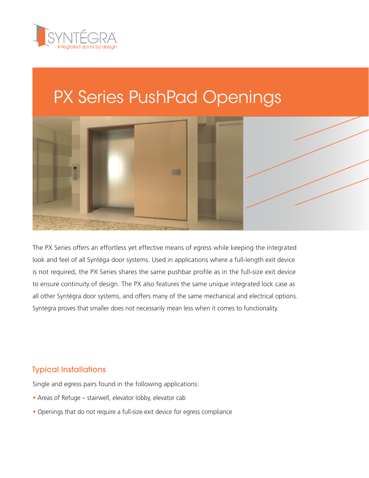

# PX Series PushPad Openings



The PX Series offers an effortless yet effective means of egress while keeping the integrated look and feel of all Syntéga door systems. Used in applications where a full-length exit device is not required, the PX Series shares the same pushbar profile as in the full-size exit device to ensure continuity of design. The PX also features the same unique integrated lock case as all other Syntégra door systems, and offers many of the same mechanical and electrical options. Syntégra proves that smaller does not necessarily mean less when it comes to functionality.

#### Typical Installations

Single and egress pairs found in the following applications:

- **•** Areas of Refuge stairwell, elevator lobby, elevator cab
- **•** Openings that do not require a full-size exit device for egress compliance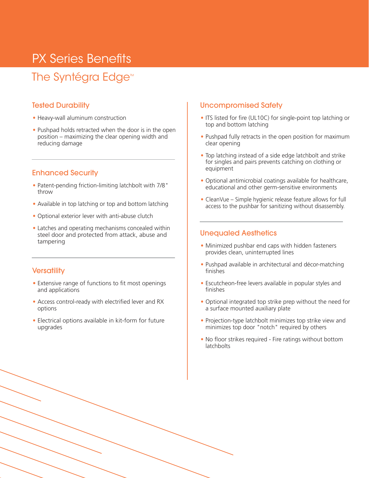### PX Series Benefits

### The Syntégra Edge<sup>™</sup>

#### Tested Durability

- **•** Heavy-wall aluminum construction
- **•** Pushpad holds retracted when the door is in the open position – maximizing the clear opening width and reducing damage

#### Enhanced Security

- **•** Patent-pending friction-limiting latchbolt with 7/8" throw
- **•** Available in top latching or top and bottom latching
- **•** Optional exterior lever with anti-abuse clutch
- **•** Latches and operating mechanisms concealed within steel door and protected from attack, abuse and tampering

#### **Versatility**

- **•** Extensive range of functions to fit most openings and applications
- **•** Access control-ready with electrified lever and RX options
- **•** Electrical options available in kit-form for future upgrades

#### Uncompromised Safety

- **•** ITS listed for fire (UL10C) for single-point top latching or top and bottom latching
- **•** Pushpad fully retracts in the open position for maximum clear opening
- **•** Top latching instead of a side edge latchbolt and strike for singles and pairs prevents catching on clothing or equipment
- **•** Optional antimicrobial coatings available for healthcare, educational and other germ-sensitive environments
- **•** CleanVue Simple hygienic release feature allows for full access to the pushbar for sanitizing without disassembly.

#### Unequaled Aesthetics

- **•** Minimized pushbar end caps with hidden fasteners provides clean, uninterrupted lines
- **•** Pushpad available in architectural and décor-matching finishes
- **•** Escutcheon-free levers available in popular styles and finishes
- **•** Optional integrated top strike prep without the need for a surface mounted auxiliary plate
- **•** Projection-type latchbolt minimizes top strike view and minimizes top door "notch" required by others
- **•** No floor strikes required Fire ratings without bottom latchbolts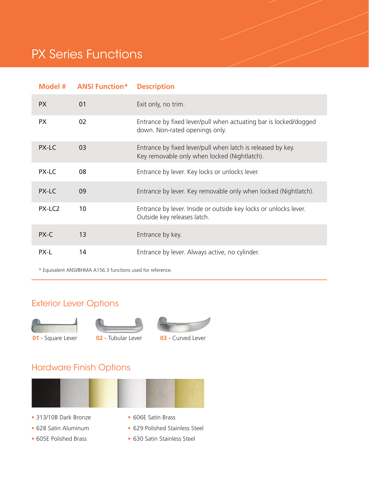### PX Series Functions

| Model #            | <b>ANSI Function*</b> | <b>Description</b>                                                                                          |
|--------------------|-----------------------|-------------------------------------------------------------------------------------------------------------|
| <b>PX</b>          | 01                    | Exit only, no trim.                                                                                         |
| <b>PX</b>          | 02                    | Entrance by fixed lever/pull when actuating bar is locked/dogged<br>down. Non-rated openings only.          |
| PX-LC              | 03                    | Entrance by fixed lever/pull when latch is released by key.<br>Key removable only when locked (Nightlatch). |
| PX-LC              | 08                    | Entrance by lever. Key locks or unlocks lever.                                                              |
| PX-LC              | 09                    | Entrance by lever. Key removable only when locked (Nightlatch).                                             |
| PX-LC <sub>2</sub> | 10                    | Entrance by lever. Inside or outside key locks or unlocks lever.<br>Outside key releases latch.             |
| PX-C               | 13                    | Entrance by key.                                                                                            |
| PX-L               | 14                    | Entrance by lever. Always active, no cylinder.                                                              |

\* Equivalent ANSI/BHMA A156.3 functions used for reference.

### Exterior Lever Options